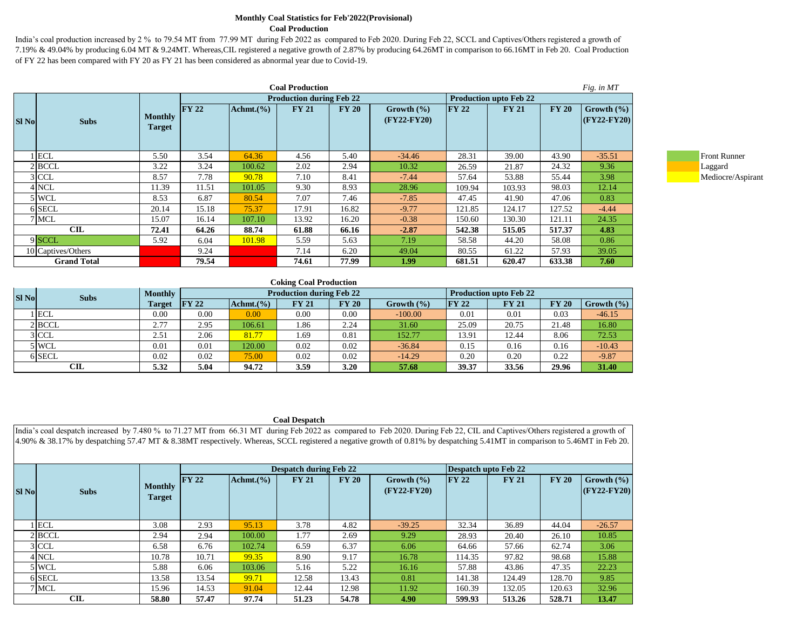#### **Monthly Coal Statistics for Feb'2022(Provisional) Coal Production**

India's coal production increased by 2 % to 79.54 MT from 77.99 MT during Feb 2022 as compared to Feb 2020. During Feb 22, SCCL and Captives/Others registered a growth of 7.19% & 49.04% by producing 6.04 MT & 9.24MT. Whereas,CIL registered a negative growth of 2.87% by producing 64.26MT in comparison to 66.16MT in Feb 20. Coal Production of FY 22 has been compared with FY 20 as FY 21 has been considered as abnormal year due to Covid-19.

| <b>Coal Production</b>      |                                 |               |           |                                 |              |                                 |               |                               |              | Fig. in MT                        |                     |
|-----------------------------|---------------------------------|---------------|-----------|---------------------------------|--------------|---------------------------------|---------------|-------------------------------|--------------|-----------------------------------|---------------------|
|                             |                                 |               |           | <b>Production during Feb 22</b> |              |                                 |               | <b>Production upto Feb 22</b> |              |                                   |                     |
| <b>Sl No</b><br><b>Subs</b> | <b>Monthly</b><br><b>Target</b> | $\Gamma$ Y 22 | Achmt.(%) | <b>FY 21</b>                    | <b>FY 20</b> | Growth $(\% )$<br>$(FY22-FY20)$ | $\Gamma Y$ 22 | <b>FY 21</b>                  | <b>FY 20</b> | Growth $(\% )$<br>$ $ (FY22-FY20) |                     |
| ECL                         | 5.50                            | 3.54          | 64.36     | 4.56                            | 5.40         | $-34.46$                        | 28.31         | 39.00                         | 43.90        | $-35.51$                          | <b>Front Runner</b> |
| $2$ BCCL                    | 3.22                            | 3.24          | 100.62    | 2.02                            | 2.94         | 10.32                           | 26.59         | 21.87                         | 24.32        | 9.36                              | Laggard             |
| 3 CCL                       | 8.57                            | 7.78          | 90.78     | 7.10                            | 8.41         | $-7.44$                         | 57.64         | 53.88                         | 55.44        | 3.98                              | Mediocre/Aspirant   |
| 4 NCL                       | 11.39                           | 11.51         | 101.05    | 9.30                            | 8.93         | 28.96                           | 109.94        | 103.93                        | 98.03        | 12.14                             |                     |
| 5 WCL                       | 8.53                            | 6.87          | 80.54     | 7.07                            | 7.46         | $-7.85$                         | 47.45         | 41.90                         | 47.06        | 0.83                              |                     |
| 6 SECL                      | 20.14                           | 15.18         | 75.37     | 17.91                           | 16.82        | $-9.77$                         | 121.85        | 124.17                        | 127.52       | $-4.44$                           |                     |
| 7 MCL                       | 15.07                           | 16.14         | 107.10    | 13.92                           | 16.20        | $-0.38$                         | 150.60        | 130.30                        | 121.11       | 24.35                             |                     |
| CIL                         | 72.41                           | 64.26         | 88.74     | 61.88                           | 66.16        | $-2.87$                         | 542.38        | 515.05                        | 517.37       | 4.83                              |                     |
| 9 SCCL                      | 5.92                            | 6.04          | 101.98    | 5.59                            | 5.63         | 7.19                            | 58.58         | 44.20                         | 58.08        | 0.86                              |                     |
| 10 Captives/Others          |                                 | 9.24          |           | 7.14                            | 6.20         | 49.04                           | 80.55         | 61.22                         | 57.93        | 39.05                             |                     |
| <b>Grand Total</b>          |                                 | 79.54         |           | 74.61                           | 77.99        | 1.99                            | 681.51        | 620.47                        | 633.38       | 7.60                              |                     |



#### **Coking Coal Production**

| <b>SI No</b> | <b>Subs</b> | <b>Monthly</b> | <b>Production during Feb 22</b> |              |              |              |                | <b>Production upto Feb 22</b> |              |              |                |  |
|--------------|-------------|----------------|---------------------------------|--------------|--------------|--------------|----------------|-------------------------------|--------------|--------------|----------------|--|
|              |             | Target         | $\Gamma Y$ 22                   | $Achmt.$ (%) | <b>FY 21</b> | <b>FY 20</b> | Growth $(\% )$ | <b>FY 22</b>                  | <b>FY 21</b> | <b>FY 20</b> | Growth $(\% )$ |  |
|              | l ECL       | 0.00           | 0.00                            | 0.00         | 0.00         | 0.00         | $-100.00$      | 0.01                          | 0.01         | 0.03         | $-46.15$       |  |
|              | 2 BCCL      | 2.77           | 2.95                            | 106.61       | 1.86         | 2.24         | 31.60          | 25.09                         | 20.75        | 21.48        | 16.80          |  |
|              | $3$ CCL     | 2.51           | 2.06                            | 81.77        | 1.69         | 0.81         | 152.77         | 13.91                         | 12.44        | 8.06         | 72.53          |  |
|              | 5 WCL       | 0.01           | 0.01                            | 120.00       | 0.02         | 0.02         | $-36.84$       | 0.15                          | 0.16         | 0.16         | $-10.43$       |  |
|              | 6 SECL      | 0.02           | 0.02                            | 75.00        | 0.02         | 0.02         | $-14.29$       | 0.20                          | 0.20         | 0.22         | $-9.87$        |  |
|              | CIL         | 5.32           | 5.04                            | 94.72        | 3.59         | 3.20         | 57.68          | 39.37                         | 33.56        | 29.96        | 31.40          |  |

#### **Coal Despatch**

|              | India's coal despatch increased by 7.480 % to 71.27 MT from 66.31 MT during Feb 2022 as compared to Feb 2020. During Feb 22, CIL and Captives/Others registered a growth of<br>4.90% & 38.17% by despatching 57.47 MT & 8.38MT respectively. Whereas, SCCL registered a negative growth of 0.81% by despatching 5.41 MT in comparison to 5.46 MT in Feb 20. |                                 |                               |                |              |       |                                 |               |                             |              |                                 |  |  |
|--------------|-------------------------------------------------------------------------------------------------------------------------------------------------------------------------------------------------------------------------------------------------------------------------------------------------------------------------------------------------------------|---------------------------------|-------------------------------|----------------|--------------|-------|---------------------------------|---------------|-----------------------------|--------------|---------------------------------|--|--|
|              |                                                                                                                                                                                                                                                                                                                                                             |                                 | <b>Despatch during Feb 22</b> |                |              |       |                                 |               | <b>Despatch upto Feb 22</b> |              |                                 |  |  |
| <b>SI No</b> | <b>Subs</b>                                                                                                                                                                                                                                                                                                                                                 | <b>Monthly</b><br><b>Target</b> | $\Gamma$ FY 22                | Achmt. $(\% )$ | <b>FY 21</b> | FY20  | Growth $(\% )$<br>$(FY22-FY20)$ | $\Gamma Y$ 22 | <b>FY 21</b>                | <b>FY 20</b> | Growth $(\% )$<br>$(FY22-FY20)$ |  |  |
|              | l ECL                                                                                                                                                                                                                                                                                                                                                       | 3.08                            | 2.93                          | 95.13          | 3.78         | 4.82  | $-39.25$                        | 32.34         | 36.89                       | 44.04        | $-26.57$                        |  |  |
|              | $2$ BCCL                                                                                                                                                                                                                                                                                                                                                    | 2.94                            | 2.94                          | 100.00         | 1.77         | 2.69  | 9.29                            | 28.93         | 20.40                       | 26.10        | 10.85                           |  |  |
|              | $3$ CCL                                                                                                                                                                                                                                                                                                                                                     | 6.58                            | 6.76                          | 102.74         | 6.59         | 6.37  | 6.06                            | 64.66         | 57.66                       | 62.74        | 3.06                            |  |  |
|              | 4 NCL                                                                                                                                                                                                                                                                                                                                                       | 10.78                           | 10.71                         | 99.35          | 8.90         | 9.17  | 16.78                           | 114.35        | 97.82                       | 98.68        | 15.88                           |  |  |
|              | 5 WCL                                                                                                                                                                                                                                                                                                                                                       | 5.88                            | 6.06                          | 103.06         | 5.16         | 5.22  | 16.16                           | 57.88         | 43.86                       | 47.35        | 22.23                           |  |  |
|              | 6 SECL                                                                                                                                                                                                                                                                                                                                                      | 13.58                           | 13.54                         | 99.71          | 12.58        | 13.43 | 0.81                            | 141.38        | 124.49                      | 128.70       | 9.85                            |  |  |
|              | 7 MCL                                                                                                                                                                                                                                                                                                                                                       | 15.96                           | 14.53                         | 91.04          | 12.44        | 12.98 | 11.92                           | 160.39        | 132.05                      | 120.63       | 32.96                           |  |  |
|              | CLL                                                                                                                                                                                                                                                                                                                                                         | 58.80                           | 57.47                         | 97.74          | 51.23        | 54.78 | 4.90                            | 599.93        | 513.26                      | 528.71       | 13.47                           |  |  |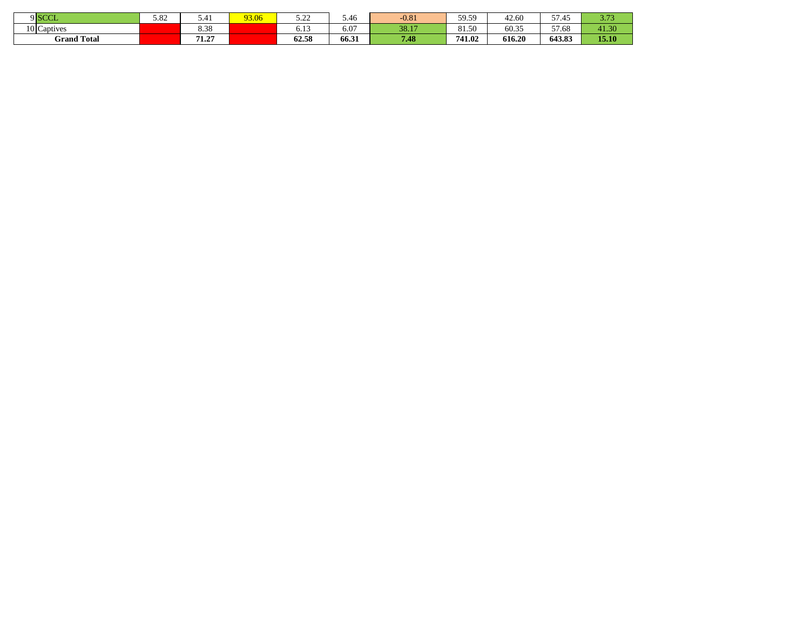| $9$ SCCL           | $\Omega$<br>J.04 | $\sim$ $ +$ $+$ | 3.06 | $\mathbf{a}$<br>----   | J.46  | $-0.81$ | 50.50<br>J.J.J | 42.60<br>⊶. | 57.45<br>.<br>JI.T. | $\sim$ $-$<br><u>.</u> |
|--------------------|------------------|-----------------|------|------------------------|-------|---------|----------------|-------------|---------------------|------------------------|
| 10 Captives        |                  | 39<br>0.JC      |      | - 11<br>0.12           | 6.07  | 38.17   | 0150<br>01.JU  | 60.35       | $- -$<br>57.6E      | 41.30                  |
| <b>Grand Total</b> |                  | ---<br>.        |      | $\sim$ $\sim$<br>04.SO | 66.31 | 7.48    | 741.02         | 616.20      | 643.83              | 15.10                  |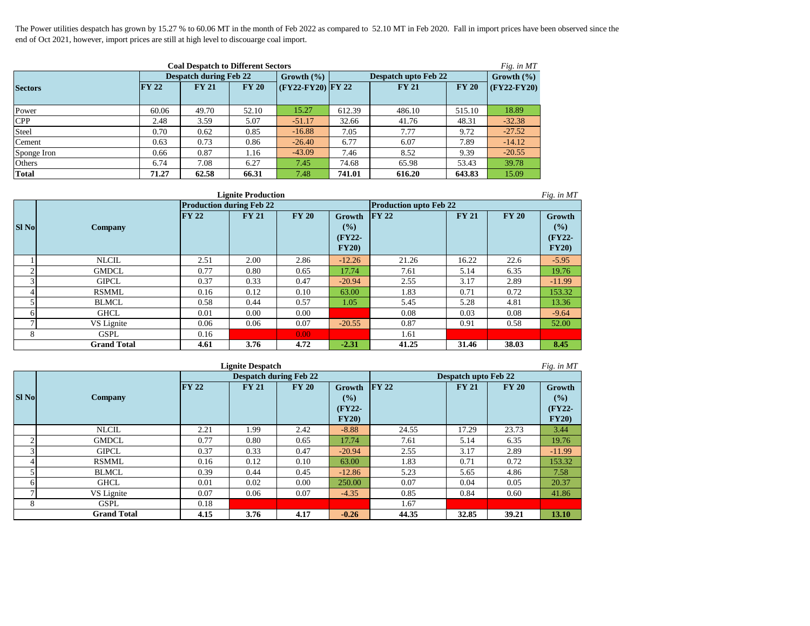The Power utilities despatch has grown by 15.27 % to 60.06 MT in the month of Feb 2022 as compared to 52.10 MT in Feb 2020. Fall in import prices have been observed since the end of Oct 2021, however, import prices are still at high level to discouarge coal import.

| <b>Coal Despatch to Different Sectors</b><br>Fig. in MT |              |                               |              |                   |        |                      |                |               |  |  |  |
|---------------------------------------------------------|--------------|-------------------------------|--------------|-------------------|--------|----------------------|----------------|---------------|--|--|--|
|                                                         |              | <b>Despatch during Feb 22</b> |              | Growth $(\% )$    |        | Despatch upto Feb 22 | Growth $(\% )$ |               |  |  |  |
| <b>Sectors</b>                                          | <b>FY 22</b> | <b>FY 21</b>                  | <b>FY 20</b> | (FY22-FY20) FY 22 |        | <b>FY 21</b>         | <b>FY 20</b>   | $(FY22-FY20)$ |  |  |  |
|                                                         |              |                               |              |                   |        |                      |                |               |  |  |  |
| Power                                                   | 60.06        | 49.70                         | 52.10        | 15.27             | 612.39 | 486.10               | 515.10         | 18.89         |  |  |  |
| <b>CPP</b>                                              | 2.48         | 3.59                          | 5.07         | $-51.17$          | 32.66  | 41.76                | 48.31          | $-32.38$      |  |  |  |
| <b>Steel</b>                                            | 0.70         | 0.62                          | 0.85         | $-16.88$          | 7.05   | 7.77                 | 9.72           | $-27.52$      |  |  |  |
| Cement                                                  | 0.63         | 0.73                          | 0.86         | $-26.40$          | 6.77   | 6.07                 | 7.89           | $-14.12$      |  |  |  |
| Sponge Iron                                             | 0.66         | 0.87                          | 1.16         | $-43.09$          | 7.46   | 8.52                 | 9.39           | $-20.55$      |  |  |  |
| Others                                                  | 6.74         | 7.08                          | 6.27         | 7.45              | 74.68  | 65.98                | 53.43          | 39.78         |  |  |  |
| <b>Total</b>                                            | 71.27        | 62.58                         | 66.31        | 7.48              | 741.01 | 616.20               | 643.83         | 15.09         |  |  |  |

|                | <b>Lignite Production</b><br>Fig. in MT |                                 |              |                   |                                    |                               |              |              |                                           |  |  |  |  |
|----------------|-----------------------------------------|---------------------------------|--------------|-------------------|------------------------------------|-------------------------------|--------------|--------------|-------------------------------------------|--|--|--|--|
|                |                                         | <b>Production during Feb 22</b> |              |                   |                                    | <b>Production upto Feb 22</b> |              |              |                                           |  |  |  |  |
| <b>SI No</b>   | Company                                 | <b>FY 22</b>                    | <b>FY 21</b> | <b>FY 20</b>      | Growth<br>(%)<br>$(FY22-$<br>FY20) | <b>FY 22</b>                  | <b>FY 21</b> | <b>FY 20</b> | <b>Growth</b><br>(%)<br>$(FY22-$<br>FY20) |  |  |  |  |
|                | <b>NLCIL</b>                            | 2.51                            | 2.00         | 2.86              | $-12.26$                           | 21.26                         | 16.22        | 22.6         | $-5.95$                                   |  |  |  |  |
| $\overline{2}$ | <b>GMDCL</b>                            | 0.77                            | 0.80         | 0.65              | 17.74                              | 7.61                          | 5.14         | 6.35         | 19.76                                     |  |  |  |  |
| 3              | <b>GIPCL</b>                            | 0.37                            | 0.33         | 0.47              | $-20.94$                           | 2.55                          | 3.17         | 2.89         | $-11.99$                                  |  |  |  |  |
| $\overline{4}$ | <b>RSMML</b>                            | 0.16                            | 0.12         | 0.10              | 63.00                              | 1.83                          | 0.71         | 0.72         | 153.32                                    |  |  |  |  |
| 5              | <b>BLMCL</b>                            | 0.58                            | 0.44         | 0.57              | 1.05                               | 5.45                          | 5.28         | 4.81         | 13.36                                     |  |  |  |  |
| 6              | GHCL                                    | 0.01                            | 0.00         | 0.00              |                                    | 0.08                          | 0.03         | 0.08         | $-9.64$                                   |  |  |  |  |
| $\mathcal{I}$  | VS Lignite                              | 0.06                            | 0.06         | 0.07              | $-20.55$                           | 0.87                          | 0.91         | 0.58         | 52.00                                     |  |  |  |  |
| 8              | <b>GSPL</b>                             | 0.16                            |              | 0.00 <sub>1</sub> |                                    | 1.61                          |              |              |                                           |  |  |  |  |
|                | <b>Grand Total</b>                      | 41.25                           | 31.46        | 38.03             | 8.45                               |                               |              |              |                                           |  |  |  |  |

| <b>Lignite Despatch</b><br>Fig. in MT |                    |       |              |                               |          |               |                             |              |          |  |  |  |
|---------------------------------------|--------------------|-------|--------------|-------------------------------|----------|---------------|-----------------------------|--------------|----------|--|--|--|
|                                       |                    |       |              | <b>Despatch during Feb 22</b> |          |               | <b>Despatch upto Feb 22</b> |              |          |  |  |  |
|                                       |                    | FY 22 | <b>FY 21</b> | <b>FY 20</b>                  | Growth   | $\Gamma Y$ 22 | <b>FY 21</b>                | <b>FY 20</b> | Growth   |  |  |  |
| <b>SI No</b>                          | Company            |       |              |                               | (%)      |               |                             |              | (%)      |  |  |  |
|                                       |                    |       |              |                               | $(FY22-$ |               |                             |              | (FY22-   |  |  |  |
|                                       |                    |       |              |                               | FY20)    |               |                             |              | FY20)    |  |  |  |
|                                       | <b>NLCIL</b>       | 2.21  | 1.99         | 2.42                          | $-8.88$  | 24.55         | 17.29                       | 23.73        | 3.44     |  |  |  |
| $\sim$                                | <b>GMDCL</b>       | 0.77  | 0.80         | 0.65                          | 17.74    | 7.61          | 5.14                        | 6.35         | 19.76    |  |  |  |
|                                       | <b>GIPCL</b>       | 0.37  | 0.33         | 0.47                          | $-20.94$ | 2.55          | 3.17                        | 2.89         | $-11.99$ |  |  |  |
|                                       | <b>RSMML</b>       | 0.16  | 0.12         | 0.10                          | 63.00    | 1.83          | 0.71                        | 0.72         | 153.32   |  |  |  |
|                                       | <b>BLMCL</b>       | 0.39  | 0.44         | 0.45                          | $-12.86$ | 5.23          | 5.65                        | 4.86         | 7.58     |  |  |  |
| 6                                     | <b>GHCL</b>        | 0.01  | 0.02         | 0.00                          | 250.00   | 0.07          | 0.04                        | 0.05         | 20.37    |  |  |  |
|                                       | VS Lignite         | 0.07  | 0.06         | 0.07                          | $-4.35$  | 0.85          | 0.84                        | 0.60         | 41.86    |  |  |  |
| 8                                     | <b>GSPL</b>        | 0.18  |              |                               |          | 1.67          |                             |              |          |  |  |  |
|                                       | <b>Grand Total</b> | 4.15  | 3.76         | 4.17                          | $-0.26$  | 44.35         | 32.85                       | 39.21        | 13.10    |  |  |  |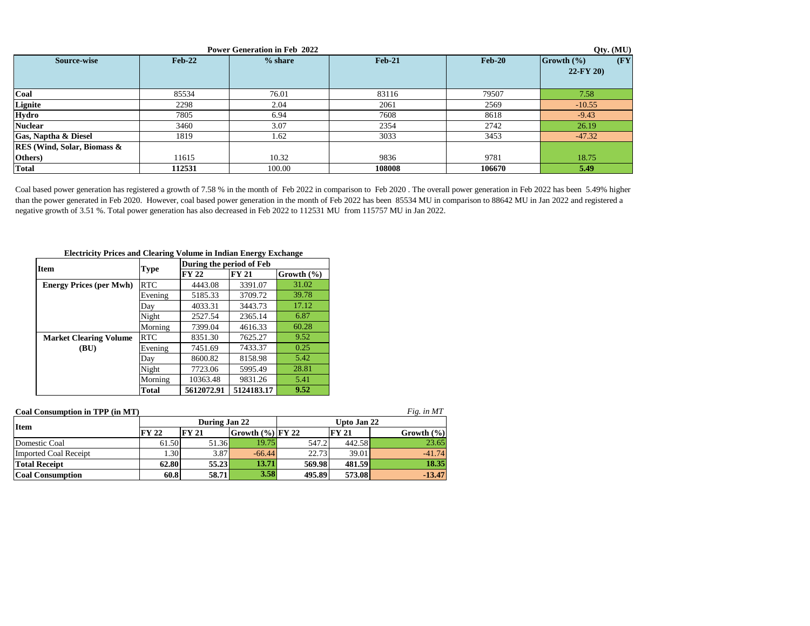| <b>Power Generation in Feb 2022</b> |                   |         |          |                   |                                                        |  |  |  |  |  |  |
|-------------------------------------|-------------------|---------|----------|-------------------|--------------------------------------------------------|--|--|--|--|--|--|
| Source-wise                         | $\mathbf{Feb-22}$ | % share | $Feb-21$ | $\mathbf{Feb-20}$ | $(\mathbf{F}\mathbf{Y})$<br>Growth (%)<br>$22$ -FY 20) |  |  |  |  |  |  |
| Coal                                | 85534             | 76.01   | 83116    | 79507             | 7.58                                                   |  |  |  |  |  |  |
| Lignite                             | 2298              | 2.04    | 2061     | 2569              | $-10.55$                                               |  |  |  |  |  |  |
| Hydro                               | 7805              | 6.94    | 7608     | 8618              | $-9.43$                                                |  |  |  |  |  |  |
| <b>Nuclear</b>                      | 3460              | 3.07    | 2354     | 2742              | 26.19                                                  |  |  |  |  |  |  |
| Gas, Naptha & Diesel                | 1819              | 1.62    | 3033     | 3453              | $-47.32$                                               |  |  |  |  |  |  |
| <b>RES</b> (Wind, Solar, Biomass &  |                   |         |          |                   |                                                        |  |  |  |  |  |  |
| Others)                             | 11615             | 10.32   | 9836     | 9781              | 18.75                                                  |  |  |  |  |  |  |
| <b>Total</b>                        | 112531            | 100.00  | 108008   | 106670            | 5.49                                                   |  |  |  |  |  |  |

Coal based power generation has registered a growth of 7.58 % in the month of Feb 2022 in comparison to Feb 2020. The overall power generation in Feb 2022 has been 5.49% higher than the power generated in Feb 2020. However, coal based power generation in the month of Feb 2022 has been 85534 MU in comparison to 88642 MU in Jan 2022 and registered a negative growth of 3.51 %. Total power generation has also decreased in Feb 2022 to 112531 MU from 115757 MU in Jan 2022.

| <b>Item</b>                    |              | During the period of Feb |              |                |
|--------------------------------|--------------|--------------------------|--------------|----------------|
|                                | <b>Type</b>  | <b>FY 22</b>             | <b>FY 21</b> | Growth $(\% )$ |
| <b>Energy Prices (per Mwh)</b> | <b>RTC</b>   | 4443.08                  | 3391.07      | 31.02          |
|                                | Evening      | 5185.33                  | 3709.72      | 39.78          |
|                                | Day          | 4033.31                  | 3443.73      | 17.12          |
|                                | Night        | 2527.54                  | 2365.14      | 6.87           |
|                                | Morning      | 7399.04                  | 4616.33      | 60.28          |
| <b>Market Clearing Volume</b>  | <b>RTC</b>   | 8351.30                  | 7625.27      | 9.52           |
| (BU)                           | Evening      | 7451.69                  | 7433.37      | 0.25           |
|                                | Day          | 8600.82                  | 8158.98      | 5.42           |
|                                | Night        | 7723.06                  | 5995.49      | 28.81          |
|                                | Morning      | 10363.48                 | 9831.26      | 5.41           |
|                                | <b>Total</b> | 5612072.91               | 5124183.17   | 9.52           |

#### **Electricity Prices and Clearing Volume in Indian Energy Exchange**

| Coal Consumption in TPP (in MT) |              |               |                   |             |              | Fig. in MT     |  |  |
|---------------------------------|--------------|---------------|-------------------|-------------|--------------|----------------|--|--|
| Item                            |              | During Jan 22 |                   | Upto Jan 22 |              |                |  |  |
|                                 | <b>FY 22</b> | <b>FY 21</b>  | Growth (%)  FY 22 |             | <b>FY 21</b> | Growth $(\% )$ |  |  |
| Domestic Coal                   | 61.50        | 51.36         | 19.75             | 547.2       | 442.58       | 23.65          |  |  |
| <b>Imported Coal Receipt</b>    | 1.30         | 3.87          | $-66.44$          | 22.73       | 39.01        | $-41.74$       |  |  |
| <b>Total Receipt</b>            | 62.80        | 55.23         | 13.71             | 569.98      | 481.59       | 18.35          |  |  |
| <b>Coal Consumption</b>         | 60.8         | 58.71         | 3.58              | 495.89      | 573.08       | $-13.47$       |  |  |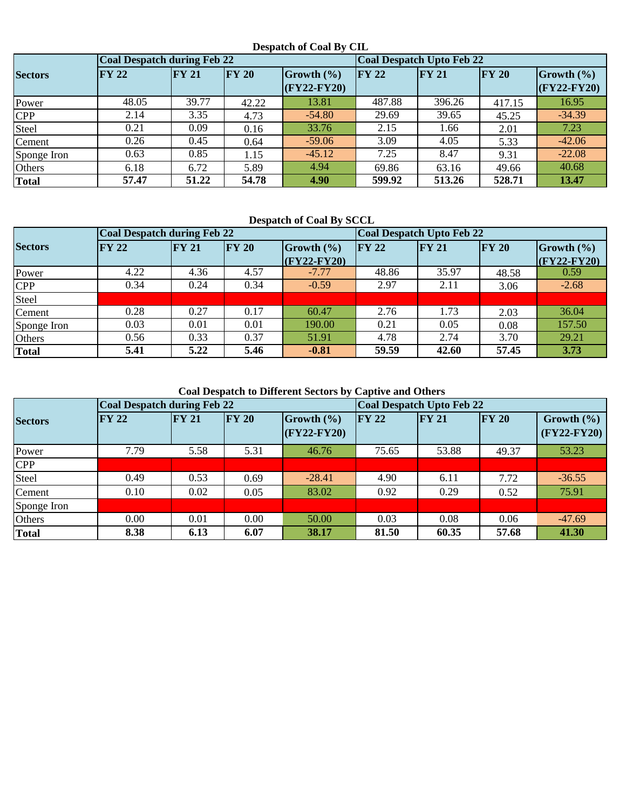#### **Despatch of Coal By CIL**

|                | <b>Coal Despatch during Feb 22</b> |              |                   |              | Coal Despatch Upto Feb 22 |               |               |               |  |
|----------------|------------------------------------|--------------|-------------------|--------------|---------------------------|---------------|---------------|---------------|--|
| <b>Sectors</b> | $\bf{FY}$ 22                       | <b>FY 21</b> | $\mathbf{F}$ Y 20 | Growth (%)   | $\Gamma Y 22$             | $\Gamma Y 21$ | $\Gamma Y 20$ | Growth $(\%)$ |  |
|                |                                    |              |                   | $CFY22-FY20$ |                           |               |               | $(FY22-FY20)$ |  |
| Power          | 48.05                              | 39.77        | 42.22             | 13.81        | 487.88                    | 396.26        | 417.15        | 16.95         |  |
| CPP            | 2.14                               | 3.35         | 4.73              | $-54.80$     | 29.69                     | 39.65         | 45.25         | $-34.39$      |  |
| Steel          | 0.21                               | 0.09         | 0.16              | 33.76        | 2.15                      | 1.66          | 2.01          | 7.23          |  |
| Cement         | 0.26                               | 0.45         | 0.64              | $-59.06$     | 3.09                      | 4.05          | 5.33          | $-42.06$      |  |
| Sponge Iron    | 0.63                               | 0.85         | 1.15              | $-45.12$     | 7.25                      | 8.47          | 9.31          | $-22.08$      |  |
| Others         | 6.18                               | 6.72         | 5.89              | 4.94         | 69.86                     | 63.16         | 49.66         | 40.68         |  |
| <b>Total</b>   | 57.47                              | 51.22        | 54.78             | 4.90         | 599.92                    | 513.26        | 528.71        | 13.47         |  |

 **Despatch of Coal By SCCL**

|                | <b>Coal Despatch during Feb 22</b> |       |              |                | <b>Coal Despatch Upto Feb 22</b> |               |              |                          |  |
|----------------|------------------------------------|-------|--------------|----------------|----------------------------------|---------------|--------------|--------------------------|--|
| <b>Sectors</b> | $\bf{FY}$ 22                       | FY 21 | <b>FY 20</b> | Growth $(\% )$ | <b>FY 22</b>                     | $\Gamma Y 21$ | $\bf{FY}$ 20 | $\vert$ Growth $\vert\%$ |  |
|                |                                    |       |              | $(FY22-FY20)$  |                                  |               |              | $(FY22-FY20)$            |  |
| Power          | 4.22                               | 4.36  | 4.57         | $-7.77$        | 48.86                            | 35.97         | 48.58        | 0.59                     |  |
| <b>CPP</b>     | 0.34                               | 0.24  | 0.34         | $-0.59$        | 2.97                             | 2.11          | 3.06         | $-2.68$                  |  |
| <b>Steel</b>   |                                    |       |              |                |                                  |               |              |                          |  |
| Cement         | 0.28                               | 0.27  | 0.17         | 60.47          | 2.76                             | 1.73          | 2.03         | 36.04                    |  |
| Sponge Iron    | 0.03                               | 0.01  | 0.01         | 190.00         | 0.21                             | 0.05          | 0.08         | 157.50                   |  |
| Others         | 0.56                               | 0.33  | 0.37         | 51.91          | 4.78                             | 2.74          | 3.70         | 29.21                    |  |
| <b>Total</b>   | 5.41                               | 5.22  | 5.46         | $-0.81$        | 59.59                            | 42.60         | 57.45        | 3.73                     |  |

 **Coal Despatch to Different Sectors by Captive and Others** 

|                | <b>Coal Despatch during Feb 22</b> |      |                                                |          | Coal Despatch Upto Feb 22 |       |                                                 |          |  |
|----------------|------------------------------------|------|------------------------------------------------|----------|---------------------------|-------|-------------------------------------------------|----------|--|
| <b>Sectors</b> | <b>FY 21</b><br>IFY 22             |      | $\Gamma Y 20$<br>Growth $(\% )$<br>(FY22-FY20) |          | FY 22<br>$\Gamma Y 21$    |       | $\bf{FY}$ 20<br>Growth $(\% )$<br>$(FY22-FY20)$ |          |  |
| Power          | 7.79                               | 5.58 | 5.31                                           | 46.76    | 75.65                     | 53.88 | 49.37                                           | 53.23    |  |
| <b>CPP</b>     |                                    |      |                                                |          |                           |       |                                                 |          |  |
| Steel          | 0.49                               | 0.53 | 0.69                                           | $-28.41$ | 4.90                      | 6.11  | 7.72                                            | $-36.55$ |  |
| Cement         | 0.10                               | 0.02 | 0.05                                           | 83.02    | 0.92                      | 0.29  | 0.52                                            | 75.91    |  |
| Sponge Iron    |                                    |      |                                                |          |                           |       |                                                 |          |  |
| Others         | 0.00                               | 0.01 | 0.00                                           | 50.00    | 0.03                      | 0.08  | 0.06                                            | $-47.69$ |  |
| <b>Total</b>   | 8.38                               | 6.13 | 6.07                                           | 38.17    | 81.50                     | 60.35 | 57.68                                           | 41.30    |  |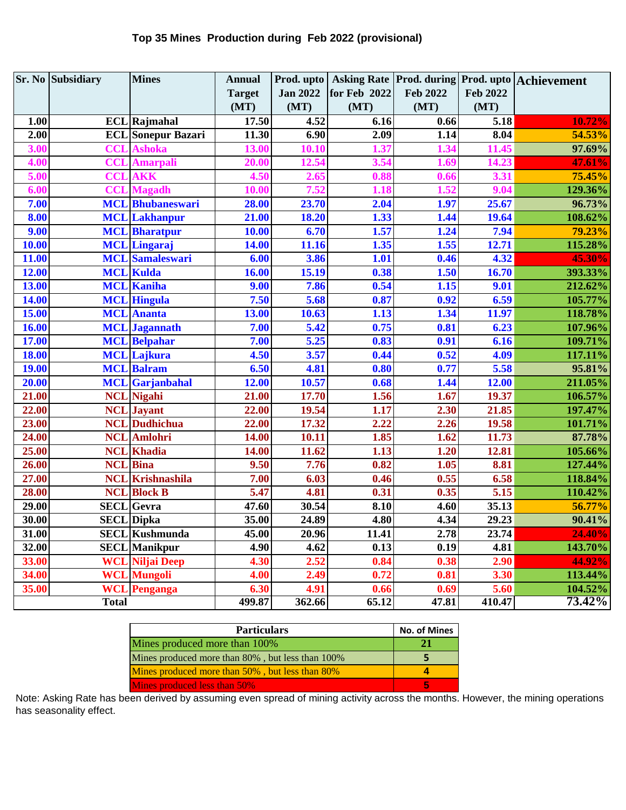|              | <b>Sr. No Subsidiary</b> | <b>Mines</b>              | <b>Annual</b>      | Prod. upto      |              |                 |                 | Asking Rate   Prod. during   Prod. upto   Achievement |
|--------------|--------------------------|---------------------------|--------------------|-----------------|--------------|-----------------|-----------------|-------------------------------------------------------|
|              |                          |                           | <b>Target</b>      | <b>Jan 2022</b> | for Feb 2022 | <b>Feb 2022</b> | <b>Feb 2022</b> |                                                       |
|              |                          |                           | (MT)               | (MT)            | (MT)         | (MT)            | (MT)            |                                                       |
| 1.00         |                          | <b>ECL</b> Rajmahal       | 17.50              | 4.52            | 6.16         | 0.66            | 5.18            | 10.72%                                                |
| 2.00         |                          | <b>ECL</b> Sonepur Bazari | 11.30              | 6.90            | 2.09         | 1.14            | 8.04            | 54.53%                                                |
| 3.00         |                          | <b>CCL</b> Ashoka         | 13.00              | 10.10           | 1.37         | 1.34            | 11.45           | 97.69%                                                |
| 4.00         |                          | <b>CCL</b> Amarpali       | 20.00              | 12.54           | 3.54         | 1.69            | 14.23           | 47.61%                                                |
| 5.00         | <b>CCL</b>               | <b>AKK</b>                | 4.50               | 2.65            | 0.88         | 0.66            | 3.31            | 75.45%                                                |
| 6.00         | <b>CCL</b>               | <b>Magadh</b>             | 10.00              | 7.52            | 1.18         | 1.52            | 9.04            | 129.36%                                               |
| 7.00         |                          | <b>MCL</b> Bhubaneswari   | 28.00              | 23.70           | 2.04         | 1.97            | 25.67           | 96.73%                                                |
| 8.00         |                          | <b>MCL</b> Lakhanpur      | 21.00              | 18.20           | 1.33         | 1.44            | 19.64           | 108.62%                                               |
| 9.00         |                          | <b>MCL</b> Bharatpur      | 10.00              | 6.70            | 1.57         | 1.24            | 7.94            | 79.23%                                                |
| 10.00        |                          | <b>MCL</b> Lingaraj       | 14.00              | 11.16           | 1.35         | 1.55            | 12.71           | 115.28%                                               |
| 11.00        |                          | <b>MCL</b> Samaleswari    | 6.00               | 3.86            | 1.01         | 0.46            | 4.32            | 45.30%                                                |
| 12.00        |                          | <b>MCL</b> Kulda          | 16.00              | 15.19           | 0.38         | 1.50            | 16.70           | 393.33%                                               |
| 13.00        |                          | <b>MCL</b> Kaniha         | 9.00               | 7.86            | 0.54         | 1.15            | 9.01            | 212.62%                                               |
| 14.00        |                          | <b>MCL</b> Hingula        | 7.50               | 5.68            | 0.87         | 0.92            | 6.59            | 105.77%                                               |
| 15.00        |                          | <b>MCL</b> Ananta         | 13.00              | 10.63           | 1.13         | 1.34            | 11.97           | 118.78%                                               |
| 16.00        |                          | <b>MCL</b> Jagannath      | 7.00               | 5.42            | 0.75         | 0.81            | 6.23            | 107.96%                                               |
| 17.00        |                          | <b>MCL</b> Belpahar       | 7.00               | 5.25            | 0.83         | 0.91            | 6.16            | 109.71%                                               |
| 18.00        |                          | <b>MCL</b> Lajkura        | 4.50               | 3.57            | 0.44         | 0.52            | 4.09            | 117.11%                                               |
| <b>19.00</b> |                          | <b>MCL Balram</b>         | 6.50               | 4.81            | 0.80         | 0.77            | 5.58            | 95.81%                                                |
| 20.00        |                          | <b>MCL</b> Garjanbahal    | 12.00              | 10.57           | 0.68         | 1.44            | 12.00           | 211.05%                                               |
| 21.00        |                          | <b>NCL</b> Nigahi         | 21.00              | 17.70           | 1.56         | 1.67            | 19.37           | 106.57%                                               |
| 22.00        |                          | <b>NCL</b> Jayant         | 22.00              | 19.54           | 1.17         | 2.30            | 21.85           | 197.47%                                               |
| 23.00        |                          | <b>NCL</b> Dudhichua      | 22.00              | 17.32           | 2.22         | 2.26            | 19.58           | 101.71%                                               |
| 24.00        |                          | <b>NCL</b> Amlohri        | 14.00              | 10.11           | 1.85         | 1.62            | 11.73           | 87.78%                                                |
| 25.00        |                          | <b>NCL</b> Khadia         | 14.00              | 11.62           | 1.13         | 1.20            | 12.81           | 105.66%                                               |
| 26.00        |                          | <b>NCL</b> Bina           | 9.50               | 7.76            | 0.82         | 1.05            | 8.81            | 127.44%                                               |
| 27.00        |                          | <b>NCL</b> Krishnashila   | 7.00               | 6.03            | 0.46         | 0.55            | 6.58            | 118.84%                                               |
| 28.00        |                          | <b>NCL</b> Block B        | 5.47               | 4.81            | 0.31         | 0.35            | 5.15            | 110.42%                                               |
| 29.00        |                          | <b>SECL</b> Gevra         | $\overline{47.60}$ | 30.54           | 8.10         | 4.60            | 35.13           | 56.77%                                                |
| 30.00        |                          | <b>SECL</b> Dipka         | 35.00              | 24.89           | 4.80         | 4.34            | 29.23           | 90.41%                                                |
| 31.00        |                          | <b>SECL</b> Kushmunda     | 45.00              | 20.96           | 11.41        | 2.78            | 23.74           | 24.40%                                                |
| 32.00        |                          | <b>SECL</b> Manikpur      | 4.90               | 4.62            | 0.13         | 0.19            | 4.81            | 143.70%                                               |
| 33.00        |                          | <b>WCL Niljai Deep</b>    | 4.30               | 2.52            | 0.84         | 0.38            | 2.90            | 44.92%                                                |
| 34.00        |                          | <b>WCL</b> Mungoli        | 4.00               | 2.49            | 0.72         | 0.81            | 3.30            | 113.44%                                               |
| 35.00        |                          | <b>WCL</b> Penganga       | 6.30               | 4.91            | 0.66         | 0.69            | 5.60            | 104.52%                                               |
|              | <b>Total</b>             |                           | 499.87             | 362.66          | 65.12        | 47.81           | 410.47          | 73.42%                                                |

| <b>Particulars</b>                               | <b>No. of Mines</b> |
|--------------------------------------------------|---------------------|
| Mines produced more than 100%                    |                     |
| Mines produced more than 80%, but less than 100% |                     |
| Mines produced more than 50%, but less than 80%  |                     |
| Mines produced less than 50%                     |                     |

Note: Asking Rate has been derived by assuming even spread of mining activity across the months. However, the mining operations has seasonality effect.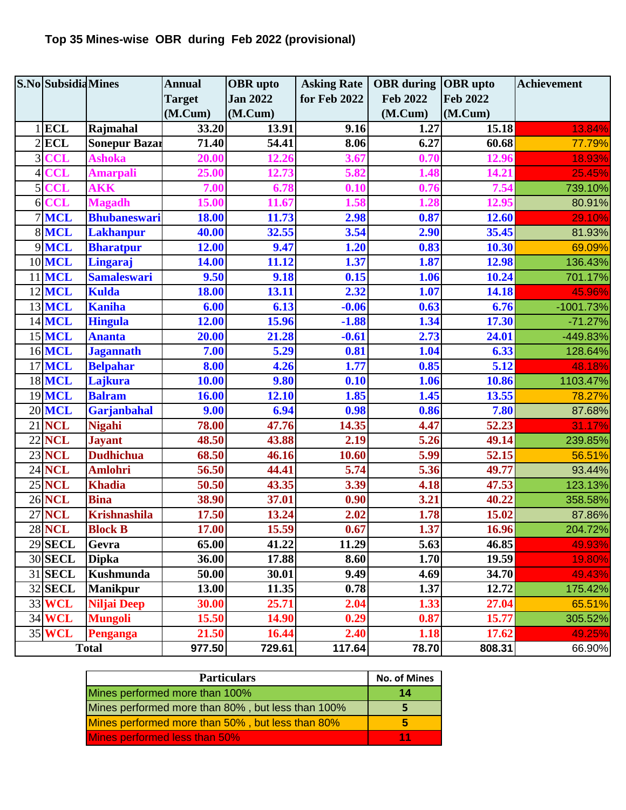## **Top 35 Mines-wise OBR during Feb 2022 (provisional)**

| <b>S.No</b> Subsidia Mines |                | <b>Annual</b>        | <b>OBR</b> upto | <b>Asking Rate</b> | <b>OBR</b> during <b>OBR</b> upto |                 | <b>Achievement</b> |             |
|----------------------------|----------------|----------------------|-----------------|--------------------|-----------------------------------|-----------------|--------------------|-------------|
|                            |                |                      | <b>Target</b>   | <b>Jan 2022</b>    | for Feb 2022                      | <b>Feb 2022</b> | <b>Feb 2022</b>    |             |
|                            |                |                      | (M.Cum)         | (M.Cum)            |                                   | (M.Cum)         | (M.Cum)            |             |
|                            | <b>ECL</b>     | Rajmahal             | 33.20           | 13.91              | 9.16                              | 1.27            | 15.18              | 13.84%      |
|                            | $2$ <b>ECL</b> | <b>Sonepur Bazar</b> | 71.40           | 54.41              | 8.06                              | 6.27            | 60.68              | 77.79%      |
| 3 <sup>l</sup>             | <b>CCL</b>     | <b>Ashoka</b>        | 20.00           | 12.26              | 3.67                              | 0.70            | 12.96              | 18.93%      |
| $\overline{4}$             | <b>CCL</b>     | <b>Amarpali</b>      | 25.00           | 12.73              | 5.82                              | 1.48            | 14.21              | 25.45%      |
| 5 <sup>1</sup>             | <b>CCL</b>     | <b>AKK</b>           | 7.00            | 6.78               | 0.10                              | 0.76            | 7.54               | 739.10%     |
| 6 <sup>1</sup>             | <b>CCL</b>     | <b>Magadh</b>        | 15.00           | 11.67              | 1.58                              | 1.28            | 12.95              | 80.91%      |
|                            | 7 MCL          | <b>Bhubaneswari</b>  | 18.00           | 11.73              | 2.98                              | 0.87            | 12.60              | 29.10%      |
|                            | 8 MCL          | <b>Lakhanpur</b>     | 40.00           | 32.55              | 3.54                              | 2.90            | 35.45              | 81.93%      |
|                            | 9MCL           | <b>Bharatpur</b>     | 12.00           | 9.47               | 1.20                              | 0.83            | 10.30              | 69.09%      |
|                            | <b>10 MCL</b>  | Lingaraj             | 14.00           | 11.12              | 1.37                              | 1.87            | 12.98              | 136.43%     |
| 11                         | <b>MCL</b>     | <b>Samaleswari</b>   | 9.50            | 9.18               | 0.15                              | 1.06            | 10.24              | 701.17%     |
|                            | 12 MCL         | <b>Kulda</b>         | <b>18.00</b>    | 13.11              | 2.32                              | 1.07            | 14.18              | 45.96%      |
|                            | 13 MCL         | <b>Kaniha</b>        | 6.00            | 6.13               | $-0.06$                           | 0.63            | 6.76               | $-1001.73%$ |
|                            | <b>14 MCL</b>  | <b>Hingula</b>       | 12.00           | 15.96              | $-1.88$                           | 1.34            | 17.30              | $-71.27%$   |
|                            | 15 MCL         | <b>Ananta</b>        | 20.00           | 21.28              | $-0.61$                           | 2.73            | 24.01              | -449.83%    |
|                            | <b>16 MCL</b>  | <b>Jagannath</b>     | 7.00            | 5.29               | 0.81                              | 1.04            | 6.33               | 128.64%     |
|                            | <b>17 MCL</b>  | <b>Belpahar</b>      | 8.00            | 4.26               | 1.77                              | 0.85            | 5.12               | 48.18%      |
|                            | <b>18 MCL</b>  | Lajkura              | 10.00           | 9.80               | 0.10                              | 1.06            | 10.86              | 1103.47%    |
|                            | <b>19 MCL</b>  | <b>Balram</b>        | 16.00           | 12.10              | 1.85                              | 1.45            | 13.55              | 78.27%      |
|                            | <b>20 MCL</b>  | Garjanbahal          | 9.00            | 6.94               | 0.98                              | 0.86            | 7.80               | 87.68%      |
| 21                         | <b>NCL</b>     | <b>Nigahi</b>        | 78.00           | 47.76              | 14.35                             | 4.47            | 52.23              | 31.17%      |
|                            | <b>22 NCL</b>  | <b>Jayant</b>        | 48.50           | 43.88              | 2.19                              | 5.26            | 49.14              | 239.85%     |
|                            | <b>23 NCL</b>  | <b>Dudhichua</b>     | 68.50           | 46.16              | 10.60                             | 5.99            | 52.15              | 56.51%      |
|                            | <b>24 NCL</b>  | <b>Amlohri</b>       | 56.50           | 44.41              | 5.74                              | 5.36            | 49.77              | 93.44%      |
|                            | <b>25 NCL</b>  | <b>Khadia</b>        | 50.50           | 43.35              | 3.39                              | 4.18            | 47.53              | 123.13%     |
|                            | <b>26 NCL</b>  | <b>Bina</b>          | 38.90           | 37.01              | 0.90                              | 3.21            | 40.22              | 358.58%     |
|                            | <b>27 NCL</b>  | <b>Krishnashila</b>  | 17.50           | 13.24              | 2.02                              | 1.78            | 15.02              | 87.86%      |
|                            | <b>28 NCL</b>  | <b>Block B</b>       | 17.00           | 15.59              | 0.67                              | 1.37            | 16.96              | 204.72%     |
|                            | <b>29 SECL</b> | Gevra                | 65.00           | 41.22              | 11.29                             | 5.63            | 46.85              | 49.93%      |
|                            | <b>30 SECL</b> | <b>Dipka</b>         | 36.00           | 17.88              | 8.60                              | 1.70            | 19.59              | 19.80%      |
|                            | <b>31 SECL</b> | <b>Kushmunda</b>     | 50.00           | 30.01              | 9.49                              | 4.69            | 34.70              | 49.43%      |
|                            | <b>32 SECL</b> | <b>Manikpur</b>      | 13.00           | 11.35              | 0.78                              | 1.37            | 12.72              | 175.42%     |
|                            | 33 WCL         | <b>Niljai Deep</b>   | 30.00           | 25.71              | 2.04                              | 1.33            | 27.04              | 65.51%      |
|                            | 34 WCL         | <b>Mungoli</b>       | 15.50           | 14.90              | 0.29                              | 0.87            | 15.77              | 305.52%     |
|                            | 35 WCL         | Penganga             | 21.50           | 16.44              | 2.40                              | 1.18            | 17.62              | 49.25%      |
|                            |                | <b>Total</b>         | 977.50          | 729.61             | 117.64                            | 78.70           | 808.31             | 66.90%      |

| <b>Particulars</b>                                | <b>No. of Mines</b> |
|---------------------------------------------------|---------------------|
| Mines performed more than 100%                    | 14                  |
| Mines performed more than 80%, but less than 100% |                     |
| Mines performed more than 50%, but less than 80%  |                     |
| Mines performed less than 50%                     | $-11$               |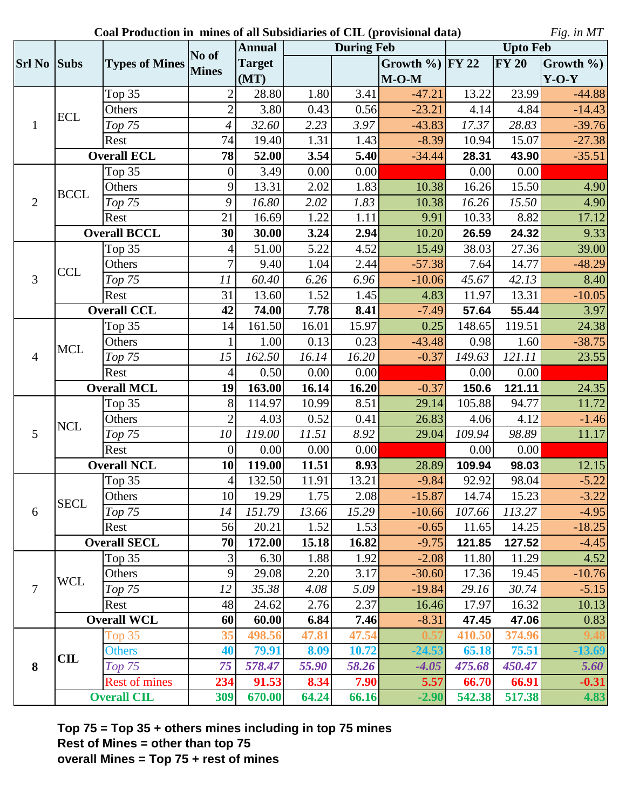**Coal Production in mines of all Subsidiaries of CIL (provisional data)**

*Fig. in MT*

|                |                    |                       | No of           | <b>Annual</b>       |       | <b>During Feb</b> |                   |        | <b>Upto Feb</b> |               |  |  |
|----------------|--------------------|-----------------------|-----------------|---------------------|-------|-------------------|-------------------|--------|-----------------|---------------|--|--|
| <b>Srl No</b>  | <b>Subs</b>        | <b>Types of Mines</b> | <b>Mines</b>    | <b>Target</b>       |       |                   | Growth % $ FY 22$ |        | <b>FY 20</b>    | Growth $\%$ ) |  |  |
|                |                    |                       |                 | (MT)                |       |                   | $M-O-M$           |        |                 | $Y-O-Y$       |  |  |
|                |                    | Top 35                | $\overline{2}$  | 28.80               | 1.80  | 3.41              | $-47.21$          | 13.22  | 23.99           | $-44.88$      |  |  |
|                | <b>ECL</b>         | Others                | $\overline{2}$  | 3.80                | 0.43  | 0.56              | $-23.21$          | 4.14   | 4.84            | $-14.43$      |  |  |
| $\mathbf{1}$   |                    | Top 75                | 4               | 32.60               | 2.23  | 3.97              | $-43.83$          | 17.37  | 28.83           | $-39.76$      |  |  |
|                |                    | Rest                  | 74              | 19.40               | 1.31  | 1.43              | $-8.39$           | 10.94  | 15.07           | $-27.38$      |  |  |
|                |                    | <b>Overall ECL</b>    | 78              | 52.00               | 3.54  | 5.40              | $-34.44$          | 28.31  | 43.90           | $-35.51$      |  |  |
|                |                    | Top 35                | $\overline{0}$  | 3.49                | 0.00  | 0.00              |                   | 0.00   | 0.00            |               |  |  |
|                | <b>BCCL</b>        | Others                | 9               | 13.31               | 2.02  | 1.83              | 10.38             | 16.26  | 15.50           | 4.90          |  |  |
| $\overline{2}$ |                    | Top 75                | 9               | 16.80               | 2.02  | 1.83              | 10.38             | 16.26  | 15.50           | 4.90          |  |  |
|                |                    | Rest                  | 21              | 16.69               | 1.22  | 1.11              | 9.91              | 10.33  | 8.82            | 17.12         |  |  |
|                |                    | <b>Overall BCCL</b>   |                 | 30.00               | 3.24  | 2.94              | 10.20             | 26.59  | 24.32           | 9.33          |  |  |
|                |                    | Top 35                | 4               | 51.00               | 5.22  | $\overline{4.52}$ | 15.49             | 38.03  | 27.36           | 39.00         |  |  |
|                |                    | Others                | 7               | 9.40                | 1.04  | 2.44              | $-57.38$          | 7.64   | 14.77           | $-48.29$      |  |  |
| $\overline{3}$ | <b>CCL</b>         | Top 75                | 11              | 60.40               | 6.26  | 6.96              | $-10.06$          | 45.67  | 42.13           | 8.40          |  |  |
|                |                    | Rest                  | 31              | 13.60               | 1.52  | 1.45              | 4.83              | 11.97  | 13.31           | $-10.05$      |  |  |
|                | <b>Overall CCL</b> |                       | 42              | 74.00               | 7.78  | 8.41              | $-7.49$           | 57.64  | 55.44           | 3.97          |  |  |
|                |                    | Top 35                | 14              | 161.50              | 16.01 | 15.97             | 0.25              | 148.65 | 119.51          | 24.38         |  |  |
|                | <b>MCL</b>         | Others                |                 | 1.00                | 0.13  | 0.23              | $-43.48$          | 0.98   | 1.60            | $-38.75$      |  |  |
| $\overline{4}$ |                    | Top 75                | 15              | 162.50              | 16.14 | 16.20             | $-0.37$           | 149.63 | 121.11          | 23.55         |  |  |
|                |                    | Rest                  | 4               | 0.50                | 0.00  | 0.00              |                   | 0.00   | 0.00            |               |  |  |
|                | <b>Overall MCL</b> |                       | 19              | 163.00              | 16.14 | 16.20             | $-0.37$           | 150.6  | 121.11          | 24.35         |  |  |
|                |                    | Top 35                | 8               | 114.97              | 10.99 | 8.51              | 29.14             | 105.88 | 94.77           | 11.72         |  |  |
|                | <b>NCL</b>         | Others                | $\overline{2}$  | 4.03                | 0.52  | 0.41              | 26.83             | 4.06   | 4.12            | $-1.46$       |  |  |
| 5              |                    | Top 75                | 10              | 119.00              | 11.51 | 8.92              | 29.04             | 109.94 | 98.89           | 11.17         |  |  |
|                |                    | Rest                  | $\overline{0}$  | 0.00                | 0.00  | 0.00              |                   | 0.00   | 0.00            |               |  |  |
|                |                    | <b>Overall NCL</b>    | 10              | 119.00              | 11.51 | 8.93              | 28.89             | 109.94 | 98.03           | 12.15         |  |  |
|                |                    | Top 35                | 4               | $\overline{1}32.50$ | 11.91 | 13.21             | $-9.84$           | 92.92  | 98.04           | $-5.22$       |  |  |
|                | <b>SECL</b>        | Others                | 10 <sup>1</sup> | 19.29               | 1.75  | 2.08              | $-15.87$          | 14.74  | 15.23           | $-3.22$       |  |  |
| 6              |                    | Top 75                | 14              | 151.79              | 13.66 | 15.29             | $-10.66$          | 107.66 | 113.27          | $-4.95$       |  |  |
|                |                    | Rest                  | 56              | 20.21               | 1.52  | 1.53              | $-0.65$           | 11.65  | 14.25           | $-18.25$      |  |  |
|                |                    | <b>Overall SECL</b>   | 70              | 172.00              | 15.18 | 16.82             | $-9.75$           | 121.85 | 127.52          | $-4.45$       |  |  |
|                |                    | Top 35                | 3               | 6.30                | 1.88  | 1.92              | $-2.08$           | 11.80  | 11.29           | 4.52          |  |  |
|                | <b>WCL</b>         | Others                | 9               | 29.08               | 2.20  | 3.17              | $-30.60$          | 17.36  | 19.45           | $-10.76$      |  |  |
| 7              |                    | Top 75                | 12              | 35.38               | 4.08  | 5.09              | $-19.84$          | 29.16  | 30.74           | $-5.15$       |  |  |
|                | Rest               |                       | 48              | 24.62               | 2.76  | 2.37              | 16.46             | 17.97  | 16.32           | 10.13         |  |  |
|                |                    | <b>Overall WCL</b>    | 60              | 60.00               | 6.84  | 7.46              | $-8.31$           | 47.45  | 47.06           | 0.83          |  |  |
|                |                    | Top 35                | 35              | 498.56              | 47.81 | 47.54             |                   | 410.50 | 374.96          |               |  |  |
|                | <b>CIL</b>         | <b>Others</b>         | 40              | 79.91               | 8.09  | 10.72             | $-24.53$          | 65.18  | 75.51           | $-13.69$      |  |  |
| 8              |                    | $Top$ 75              | 75              | 578.47              | 55.90 | 58.26             | $-4.05$           | 475.68 | 450.47          | 5.60          |  |  |
|                |                    | <b>Rest of mines</b>  | 234             | 91.53               | 8.34  | 7.90              | 5.57              | 66.70  | 66.91           | $-0.31$       |  |  |
|                |                    | <b>Overall CIL</b>    |                 | 670.00<br>309       | 64.24 | 66.16             | $-2.90$           | 542.38 | 517.38          | 4.83          |  |  |

**Top 75 = Top 35 + others mines including in top 75 mines Rest of Mines = other than top 75 overall Mines = Top 75 + rest of mines**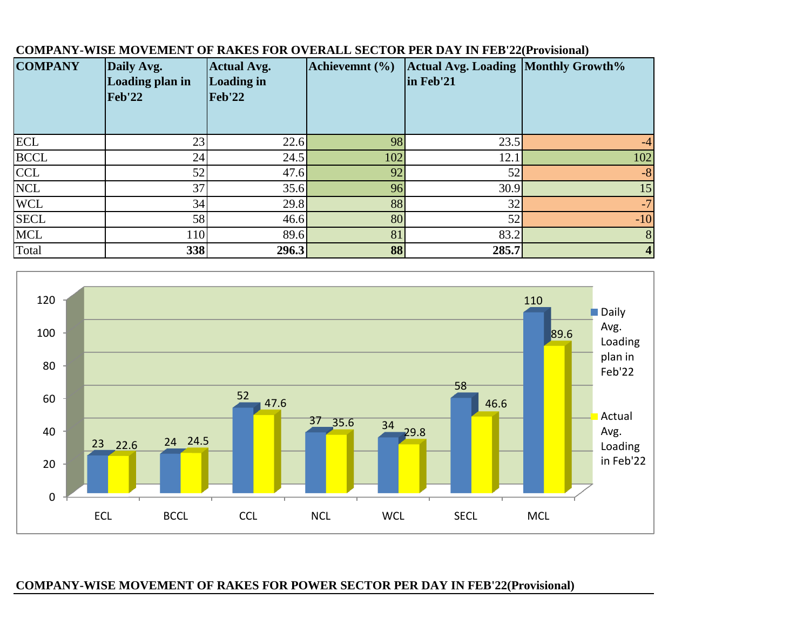| <b>COMPANY</b> | Daily Avg.<br><b>Loading plan in</b><br><b>Feb'22</b> | <b>Actual Avg.</b><br><b>Loading in</b><br><b>Feb'22</b> | Achievemnt (%) | <b>Actual Avg. Loading Monthly Growth%</b><br>in Feb'21 |       |
|----------------|-------------------------------------------------------|----------------------------------------------------------|----------------|---------------------------------------------------------|-------|
| <b>ECL</b>     | 23                                                    | 22.6                                                     | 98             | 23.5                                                    | $-4$  |
| <b>BCCL</b>    | 24                                                    | 24.5                                                     | 102            | 12.1                                                    | 102   |
| <b>CCL</b>     | 52                                                    | 47.6                                                     | 92             | 52                                                      | $-8$  |
| <b>NCL</b>     | 37                                                    | 35.6                                                     | 96             | 30.9                                                    | 15    |
| <b>WCL</b>     | 34                                                    | 29.8                                                     | 88             | 32                                                      | $-7$  |
| <b>SECL</b>    | 58                                                    | 46.6                                                     | 80             | 52                                                      | $-10$ |
| <b>MCL</b>     | 110                                                   | 89.6                                                     | 81             | 83.2                                                    | 8     |
| Total          | 338                                                   | 296.3                                                    | 88             | 285.7                                                   | 4     |

### **COMPANY-WISE MOVEMENT OF RAKES FOR OVERALL SECTOR PER DAY IN FEB'22(Provisional)**



## **COMPANY-WISE MOVEMENT OF RAKES FOR POWER SECTOR PER DAY IN FEB'22(Provisional)**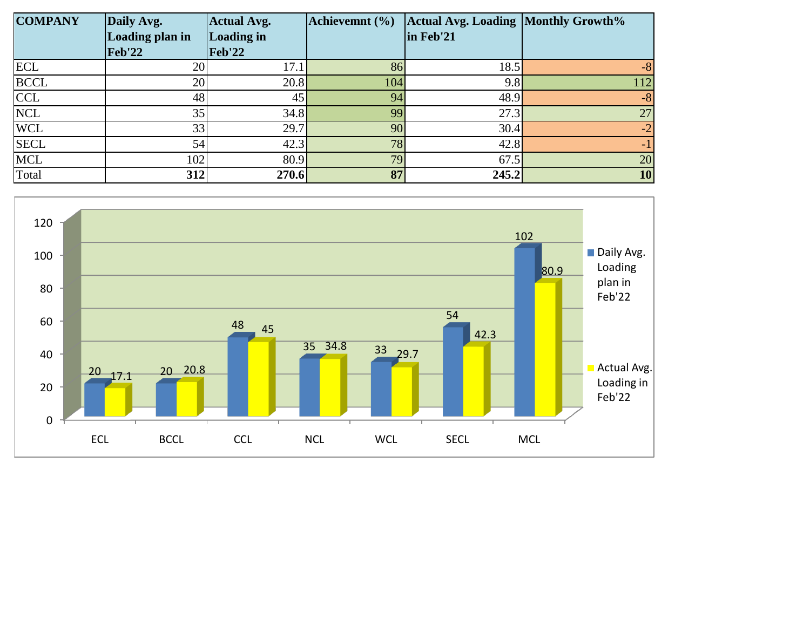| <b>COMPANY</b><br>Daily Avg. |                           | <b>Actual Avg.</b>                 | Achievemnt (%)  | <b>Actual Avg. Loading Monthly Growth%</b> |           |
|------------------------------|---------------------------|------------------------------------|-----------------|--------------------------------------------|-----------|
|                              | Loading plan in<br>Feb'22 | <b>Loading in</b><br><b>Feb'22</b> |                 | in Feb'21                                  |           |
| <b>ECL</b>                   | 20                        | 17.1                               | 86              | 18.5                                       | -8        |
| <b>BCCL</b>                  | 20                        | 20.8                               | 104             | 9.8                                        | 112       |
| <b>CCL</b>                   | 48                        | 45                                 | 94              | 48.9                                       | $-8$      |
| <b>NCL</b>                   | 35                        | 34.8                               | 99              | 27.3                                       | 27        |
| <b>WCL</b>                   | 33                        | 29.7                               | 90 <sup>°</sup> | 30.4                                       | $-2$      |
| <b>SECL</b>                  | 54                        | 42.3                               | 78              | 42.8                                       | $-1$      |
| <b>MCL</b>                   | 102                       | 80.9                               | 79              | 67.5                                       | 20        |
| Total                        | 312                       | 270.6                              | 87              | 245.2                                      | <b>10</b> |

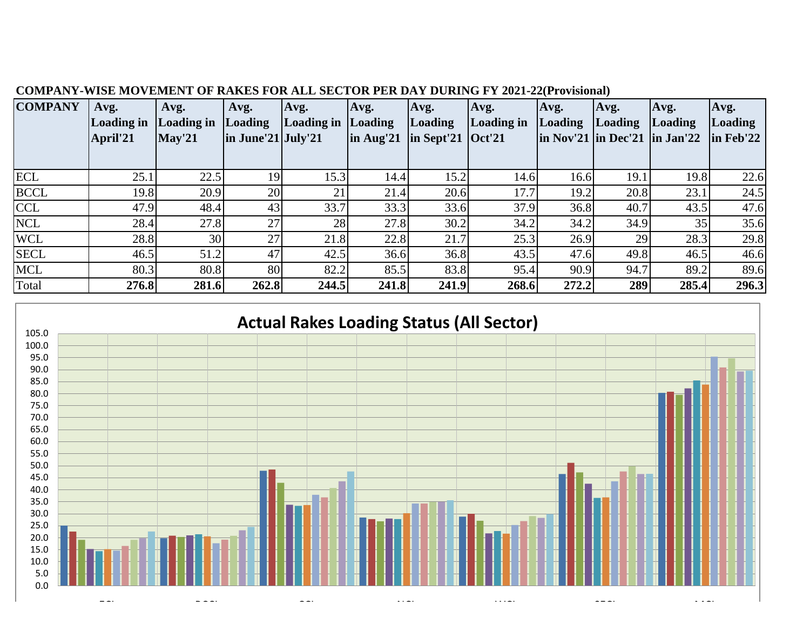| <b>COMPANY</b> | Avg.<br>Loading in<br>April'21 | Avg.<br><b>Loading in</b><br>$\sqrt{\text{May'21}}$ | Avg.<br>Loading<br>$\ln$ June'21 July'21 | Avg.<br>Loading in Loading | Avg.<br>$\ln$ Aug'21 | Avg.<br><b>Loading</b><br>$\ln$ Sept'21 $\cot 21$ | Avg.<br>Loading in | Avg.<br>Loading | Avg.<br><b>Loading</b><br>$\ln \text{Nov'}21 \ln \text{Dec'}21 \ln \text{Jan'}22$ | Avg.<br>Loading | Avg.<br>Loading<br>$\ln$ Feb'22 |
|----------------|--------------------------------|-----------------------------------------------------|------------------------------------------|----------------------------|----------------------|---------------------------------------------------|--------------------|-----------------|-----------------------------------------------------------------------------------|-----------------|---------------------------------|
|                |                                |                                                     |                                          |                            |                      |                                                   |                    |                 |                                                                                   |                 |                                 |
| <b>ECL</b>     | 25.1                           | 22.5                                                | 19                                       | 15.3                       | 14.4                 | 15.2                                              | 14.6               | 16.6            | 19.1                                                                              | 19.8            | 22.6                            |
| <b>BCCL</b>    | 19.8                           | 20.9                                                | 20                                       | 21                         | 21.4                 | 20.6                                              | 17.7               | 19.2            | 20.8                                                                              | 23.1            | 24.5                            |
| <b>CCL</b>     | 47.9                           | 48.4                                                | 43                                       | 33.7                       | 33.3                 | 33.6                                              | 37.9               | 36.8            | 40.7                                                                              | 43.5            | 47.6                            |
| <b>NCL</b>     | 28.4                           | 27.8                                                | 27                                       | 28                         | 27.8                 | 30.2                                              | 34.2               | 34.2            | 34.9                                                                              | 35              | 35.6                            |
| <b>WCL</b>     | 28.8                           | 30 <sup>l</sup>                                     | 27                                       | 21.8                       | 22.8                 | 21.7                                              | 25.3               | 26.9            | 29                                                                                | 28.3            | 29.8                            |
| <b>SECL</b>    | 46.5                           | 51.2                                                | 47                                       | 42.5                       | 36.6                 | 36.8                                              | 43.5               | 47.6            | 49.8                                                                              | 46.5            | 46.6                            |
| <b>MCL</b>     | 80.3                           | 80.8                                                | 80                                       | 82.2                       | 85.5                 | 83.8                                              | 95.4               | 90.9            | 94.7                                                                              | 89.2            | 89.6                            |
| Total          | 276.8                          | 281.6                                               | 262.8                                    | 244.5                      | 241.8                | 241.9                                             | 268.6              | 272.2           | 289                                                                               | 285.4           | 296.3                           |

## **COMPANY-WISE MOVEMENT OF RAKES FOR ALL SECTOR PER DAY DURING FY 2021-22(Provisional)**

# **Actual Rakes Loading Status (All Sector)**

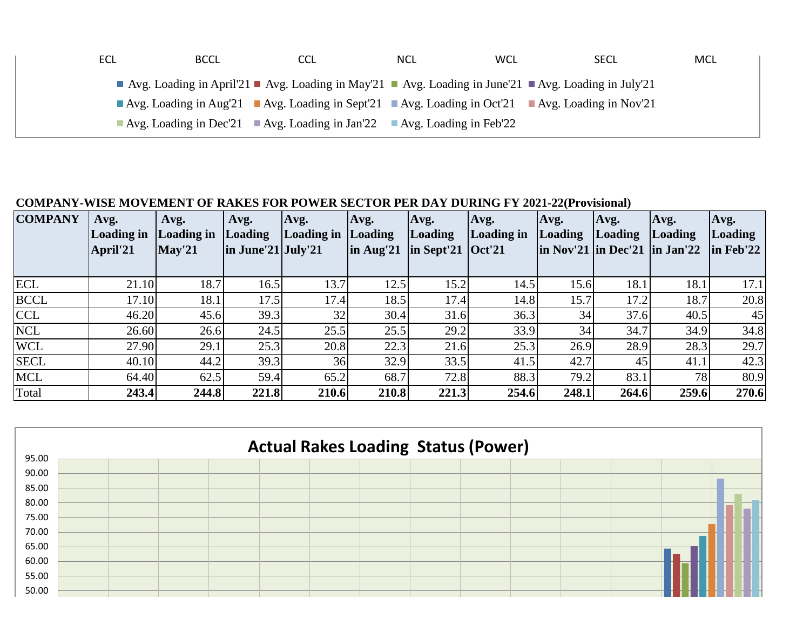| ECL | <b>BCCL</b> | CCL                                                                                                                                          | <b>NCL</b> | <b>WCL</b> | <b>SECL</b> | MCL |
|-----|-------------|----------------------------------------------------------------------------------------------------------------------------------------------|------------|------------|-------------|-----|
|     |             | Avg. Loading in April'21 Avg. Loading in May'21 Avg. Loading in June'21 Avg. Loading in July'21                                              |            |            |             |     |
|     |             | Avg. Loading in Aug <sup>'21</sup> Avg. Loading in Sept <sup>'21</sup> Avg. Loading in Oct <sup>'21</sup> Avg. Loading in Nov <sup>'21</sup> |            |            |             |     |
|     |             | Avg. Loading in Dec'21 Avg. Loading in Jan'22 Avg. Loading in Feb'22                                                                         |            |            |             |     |

## **COMPANY-WISE MOVEMENT OF RAKES FOR POWER SECTOR PER DAY DURING FY 2021-22(Provisional)**

| <b>COMPANY</b> | Avg.<br>Loading in<br>April'21 | Avg.<br><b>Loading in</b><br><b>May'21</b> | Avg.<br>Loading<br>$\ln$ June'21 July'21 | Avg.<br>Loading in Loading | Avg.<br>$\ln$ Aug'21 | Avg.<br><b>Loading</b><br>$\ln$ Sept'21 $\cot 21$ | Avg.<br>Loading in | Avg.<br>Loading | Avg.<br><b>Loading</b><br>$\ln$ Nov'21 $\ln$ Dec'21 $\ln$ Jan'22 | Avg.<br>Loading | Avg.<br>Loading<br>$\ln$ Feb'22 |
|----------------|--------------------------------|--------------------------------------------|------------------------------------------|----------------------------|----------------------|---------------------------------------------------|--------------------|-----------------|------------------------------------------------------------------|-----------------|---------------------------------|
| <b>ECL</b>     | 21.10                          | 18.7                                       | 16.5                                     | 13.7                       | 12.5                 | 15.2                                              | 14.5               | 15.6            | 18.1                                                             | 18.1            | 17.1                            |
| <b>BCCL</b>    | 17.10                          | 18.1                                       | 17.5                                     | 17.4                       | 18.5                 | 17.4                                              | 14.8               | 15.7            | 17.2                                                             | 18.7            | 20.8                            |
| <b>CCL</b>     | 46.20                          | 45.6                                       | 39.3                                     | 32                         | 30.4                 | 31.6                                              | 36.3               | 34              | 37.6                                                             | 40.5            | 45                              |
| <b>NCL</b>     | 26.60                          | 26.6                                       | 24.5                                     | 25.5                       | 25.5                 | 29.2                                              | 33.9               | 34              | 34.7                                                             | 34.9            | 34.8                            |
| <b>WCL</b>     | 27.90                          | 29.1                                       | 25.3                                     | 20.8                       | 22.3                 | 21.6                                              | 25.3               | 26.9            | 28.9                                                             | 28.3            | 29.7                            |
| <b>SECL</b>    | 40.10                          | 44.2                                       | 39.3                                     | 36                         | 32.9                 | 33.5                                              | 41.5               | 42.7            | 45                                                               | 41.1            | 42.3                            |
| <b>MCL</b>     | 64.40                          | 62.5                                       | 59.4                                     | 65.2                       | 68.7                 | 72.8                                              | 88.3               | 79.2            | 83.1                                                             | 78              | 80.9                            |
| Total          | 243.4                          | 244.8                                      | 221.8                                    | 210.6                      | 210.8                | 221.3                                             | 254.6              | 248.1           | 264.6                                                            | 259.6           | 270.6                           |